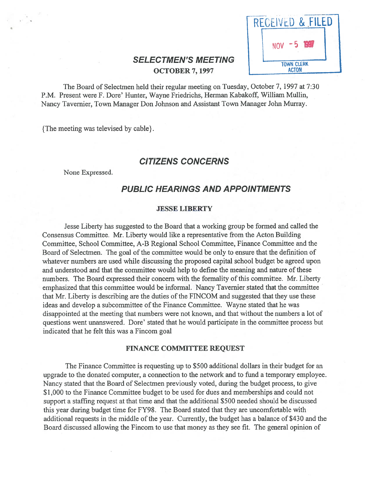| RECEIVED & FILED                  |  |
|-----------------------------------|--|
| $NOV = 5$                         |  |
| <b>TOWN CLERK</b><br><b>ACTON</b> |  |

# **SELECTMEN'S MEETING OCTOBER 7, 1997**

The Board of Selectmen held their regular meeting on Tuesday, October 7, 1997 at 7:30 P.M. Present were F. Dore' Hunter, Wayne friedrichs, Herman Kabakoff, William Mullin, Nancy Tavernier, Town Manager Don Johnson and Assistant Town Manager John Murray.

{The meeting was televised by cable}.

# CITIZENS CONCERNS

None Expressed.

# PUBLIC HEARINGS AND APPOINTMENTS

### JESSE LIBERTY

Jesse Liberty has suggested to the Board that <sup>a</sup> working group be formed and called the Consensus Committee. Mr. Liberty would like <sup>a</sup> representative from the Acton Building Committee, School Committee, A-B Regional School Committee, Finance Committee and the Board of Selectmen. The goal of the committee would be only to ensure that the definition of whatever numbers are used while discussing the proposed capital school budget be agreed upon and understood and that the committee would help to define the meaning and nature of these numbers. The Board expressed their concern with the formality of this committee. Mr. Liberty emphasized that this committee would be informal. Nancy Tavemier stated that the committee that Mr. Liberty is describing are the duties of the FINCOM and suggested that they use these ideas and develop <sup>a</sup> subcommittee of the Finance Committee. Wayne stated that he was disappointed at the meeting that numbers were not known, and that without the numbers <sup>a</sup> lot of questions went unanswered. Dore' stated that he would participate in the committee process but indicated that he felt this was <sup>a</sup> Fincom goal

#### FINANCE COMMITTEE REQUEST

The Finance Committee is requesting up to \$500 additional dollars in their budget for an upgrade to the donated computer, <sup>a</sup> connection to the network and to fund <sup>a</sup> temporary employee. Nancy stated that the Board of Selectmen previously voted, during the budget process, to give \$1,000 to the Finance Committee budget to be used for dues and memberships and could not suppor<sup>t</sup> <sup>a</sup> staffing reques<sup>t</sup> at that time and that the additional \$500 needed should be discussed this year during budget time for FY98. The Board stated that they are uncomfortable with additional requests in the middle of the year. Currently, the budget has a balance of \$430 and the Board discussed allowing the Fincom to use that money as they see fit. The general opinion of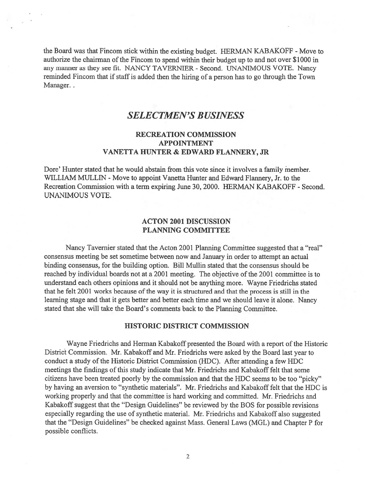the Board was that Fincom stick within the existing budget. HERMAN KABAKOFF - Move to authorize the chairman of the Fincom to spen<sup>d</sup> within their budget up to and not over \$1000 in any manner as they see fit. NANCY TAVERNIER - Second. UNANIMOUS VOTE. Nancy reminded Fincom that if staff is added then the hiring of a person has to go through the Town Manager..

# SELECTMEN'S BUSINESS

# RECREATION COMMISSION APPOINTMENT VANETTA HUNTER & EDWARD FLANNERY, JR

Dore' Hunter stated that he would abstain from this vote since it involves <sup>a</sup> family member. WILLIAM MULLIN - Move to appoint Vanetta Hunter and Edward Flannery, Jr. to the Recreation Commission with <sup>a</sup> term expiring June 30, 2000. HERMAN KABAKOFF - Second. UNANIMOUS VOTE.

# ACTON 2001 DISCUSSION PLANNING COMMITTEE

Nancy Tavernier stated that the Acton 2001 Planning Committee suggested that <sup>a</sup> "real" consensus meeting be set sometime between now and January in order to attempt an actual binding consensus, for the building option. Bill Mullin stated that the consensus should be reached by individual boards not at a 2001 meeting. The objective of the 2001 committee is to understand each others opinions and it should not be anything more. Wayne Friedrichs stated that he felt 2001 works because of the way it is structured and that the process is still in the learning stage and that it gets better and better each time and we should leave it alone. Nancy stated that she will take the Board's comments back to the Planning Committee.

### HISTORIC DISTRICT COMMISSION

Wayne Friedrichs and Herman Kabakoff presented the Board with <sup>a</sup> repor<sup>t</sup> of the Historic District Commission. Mr. Kabakoff and Mr. Friedrichs were asked by the Board last year to conduct <sup>a</sup> study of the Historic District Commission (HDC). After attending <sup>a</sup> few HDC meetings the findings of this study indicate that Mr. Friedrichs and Kabakoff felt that some citizens have been treated poorly by the commission and that the HDC seems to be too "picky" by having an aversion to "synthetic materials". Mr. Friedrichs and Kabakoff felt that the HDC is working properly and that the committee is hard working and committed. Mr. Friedrichs and Kabakoff sugges<sup>t</sup> that the "Design Guidelines" be reviewed by the BOS for possible revisions especially regarding the use of synthetic material. Mr. friedrichs and Kabakoff also suggested that the "Design Guidelines" be checked against Mass. General Laws (MGL) and Chapter <sup>P</sup> for possible conflicts.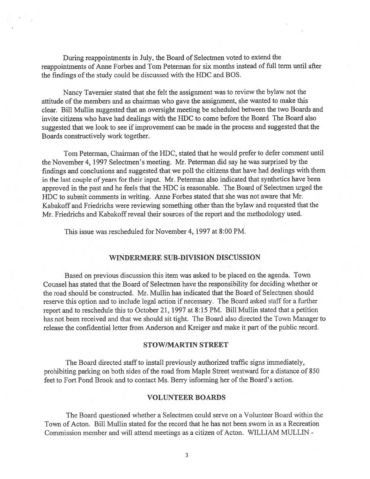During reappointments in July, the Board of Selectmen voted to extend the reappointments of Anne Forbes and Tom Peterman for six months instead of full term until after the findings of the study could be discussed with the HDC and BOS.

Nancy Tavemier stated that she felt the assignment was to review the bylaw not the attitude of the members and as chairman who gave the assignment, she wanted to make this clear. Bill Mullin suggested that an oversight meeting be scheduled between the two Boards and invite citizens who have had dealings with the HDC to come before the Board The Board also suggested that we look to see if improvement can be made in the process and suggested that the Boards constructively work together.

Tom Peterman, Chairman of the HDC, stated that he would prefer to defer comment until the November 4, 1997 Selectmen's meeting. Mr. Peterman did say he was surprised by the findings and conclusions and suggested that we poll the citizens that have had dealings with them in the last couple of years for their input. Mr. Peterman also indicated that synthetics have been approve<sup>d</sup> in the pas<sup>t</sup> and he feels that the HDC is reasonable. The Board of Selectmen urge<sup>d</sup> the HDC to submit comments in writing. Anne Forbes stated that she was not aware that Mr. Kabakoff and Friedrichs were reviewing something other than the bylaw and requested that the Mr. Friedrichs and Kabakoff reveal their sources of the report and the methodology used.

This issue was rescheduled for November 4, 1997 at 8:00 PM.

#### WINDERMERE SUB-DIVISION DISCUSSION

Based on previous discussion this item was asked to be placed on the agenda. Town Counsel has stated that the Board of Selectmen have the responsibility for deciding whether or the road should be constructed. Mr. Mullin has indicated that the Board of Selectmen should reserve this option and to include legal action if necessary. The Board asked staff for <sup>a</sup> further repor<sup>t</sup> and to reschedule this to October 21, <sup>1997</sup> at 8:15 PM. Bill Mullin stated that <sup>a</sup> petition has not been received and that we should sit tight. The Board also directed the Town Manager to release the confidential letter from Anderson and Kreiger and make it par<sup>t</sup> of the public record.

#### STOW/MARTIN STREET

The Board directed staff to install previously authorized traffic signs immediately, prohibiting parking on both sides of the road from Maple Street westward for <sup>a</sup> distance of 850 feet to Fort Pond Brook and to contact Ms. Berry informing her of the Board's action.

#### VOLUNTEER BOARDS

The Board questioned whether <sup>a</sup> Selectmen could serve on <sup>a</sup> Volunteer Board within the Town of Acton. Bill Mullin stated for the record that he has not been sworn in as <sup>a</sup> Recreation Commission member and will attend meetings as <sup>a</sup> citizen of Acton. WILLIAM MULLIN -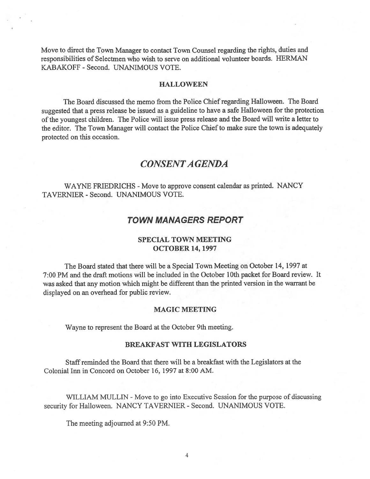Move to direct the Town Manager to contact Town Counsel regarding the rights, duties and responsibilities of Selectmen who wish to serve on additional volunteer boards. HERMAN KABAKOFF - Second. UNANIMOUS VOTE.

#### HALLOWEEN

The Board discussed the memo from the Police Chief regarding Halloween. The Board suggested that <sup>a</sup> press release be issued as <sup>a</sup> guideline to have <sup>a</sup> safe Halloween for the protection ofthe younges<sup>t</sup> children. The Police will issue press release and the Board will write <sup>a</sup> letter to the editor. The Town Manager will contact the Police Chief to make sure the town is adequately protected on this occasion.

# CONSENTA GENDA

WAYNE FRIEDRICHS - Move to approve consent calendar as printed. NANCY TAVERNIER - Second. UNANIMOUS VOTE.

# TOWN MANAGERS REPORT

### SPECIAL TOWN MEETING OCTOBER 14, 1997

The Board stated that there will be <sup>a</sup> Special Town Meeting on October 14, 1997 at 7:00 PM and the draft motions will be included in the October 10th packet for Board review. It was asked that any motion which might be different than the printed version in the warrant be displayed on an overhead for public review.

### MAGIC MEETING

Wayne to represen<sup>t</sup> the Board at the October 9th meeting.

## BREAKFAST WITH LEGISLATORS

Staffreminded the Board that there will be <sup>a</sup> breakfast with the Legislators at the Colonial Inn in Concord on October 16, 1997 at 8:00 AM.

WILLIAM MULLIN - Move to go into Executive Session for the purpose of discussing security for Halloween. NANCY TAVERNIER - Second. UNANIMOUS VOTE.

The meeting adjourned at 9:50 PM.

4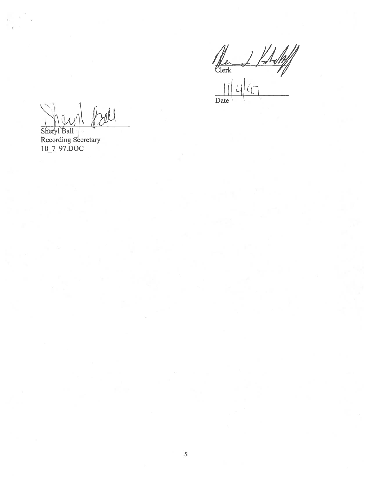$\frac{1}{2}$ Date

Ball  $\mathcal{U} \cup$ 

Sheryl Ball Recording Secretary 1O\_7\_97.DOC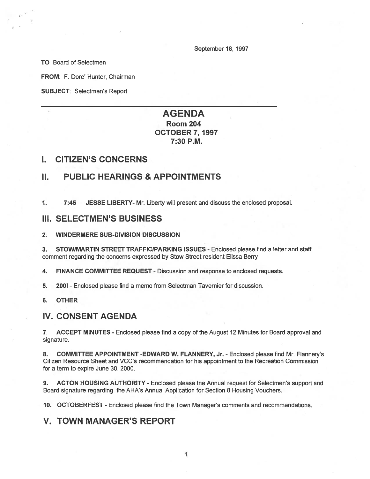September 18, 1997

TO Board of Selectmen

FROM: F. Dore' Hunter, Chairman

SUBJECT: Selectmen's Report

# AGENDA Room 204 OCTOBER 7, 1997 7:30 P.M.

### I. CITIZEN'S CONCERNS

# II. PUBLIC HEARINGS & APPOINTMENTS

1. 7:45 JESSE LIBERTY- Mr. Liberty will presen<sup>t</sup> and discuss the enclosed proposal.

## III. SELECTMEN'S BUSINESS

#### 2. WINDERMERE SUB-DIVISION DISCUSSION

3. STOW/MARTIN STREET TRAFFIC/PARKING ISSUES - Enclosed please find a letter and staff comment regarding the concerns expressed by Stow Street resident Elissa Berry

4. FINANCE COMMITTEE REQUEST - Discussion and response to enclosed requests.

5. 2001 -Enclosed please find <sup>a</sup> memo from Selectman Tavernier for discussion.

6. OTHER

### IV. CONSENT AGENDA

7. ACCEPT MINUTES - Enclosed please find <sup>a</sup> copy of the August 12 Minutes for Board approval and signature.

8. COMMITTEE APPOINTMENT -EDWARD W. FLANNERY, Jr. - Enclosed please find Mr. Flannery's Citizen Resource Sheet and VCC's recommendation for his appointment to the Recreation Commission for <sup>a</sup> term to expire June 30, 2000.

9. ACTON HOUSING AUTHORITY - Enclosed please the Annual request for Selectmen's support and Board signature regarding the AHA's Annual Application for Section 8 Housing Vouchers.

10. OCTOBERFEST - Enclosed please find the Town Manager's comments and recommendations.

# V. TOWN MANAGER'S REPORT

1